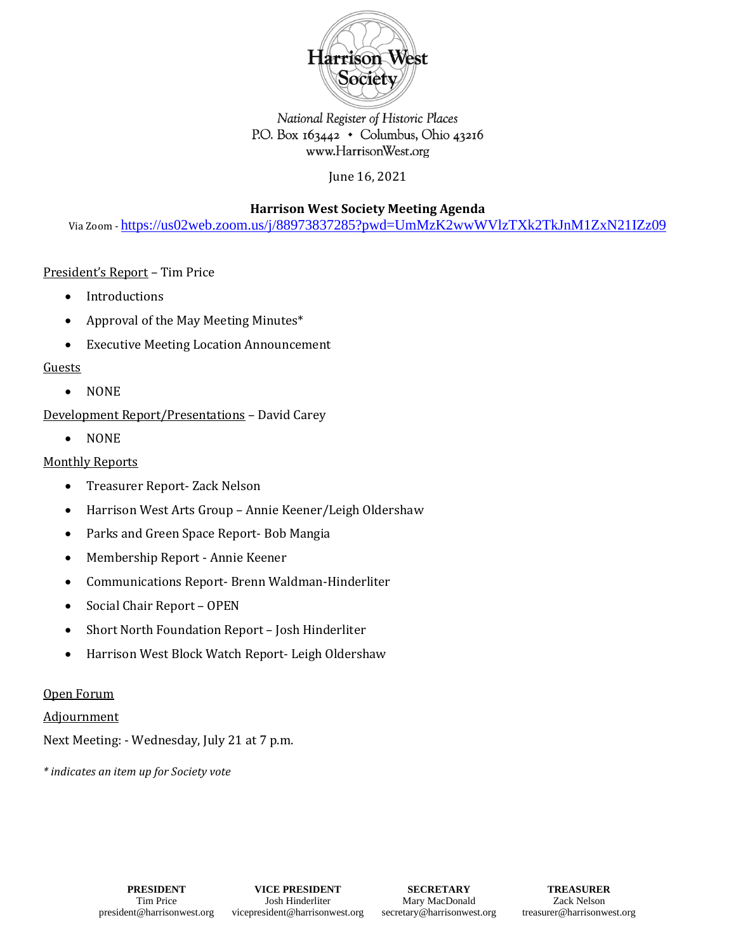

# National Register of Historic Places P.O. Box  $163442 \cdot$  Columbus, Ohio 43216 www.HarrisonWest.org

June 16, 2021

**Harrison West Society Meeting Agenda**

Via Zoom - <https://us02web.zoom.us/j/88973837285?pwd=UmMzK2wwWVlzTXk2TkJnM1ZxN21IZz09>

# President's Report – Tim Price

- Introductions
- Approval of the May Meeting Minutes\*
- Executive Meeting Location Announcement

### Guests

• NONE

Development Report/Presentations – David Carey

• NONE

# Monthly Reports

- Treasurer Report- Zack Nelson
- Harrison West Arts Group Annie Keener/Leigh Oldershaw
- Parks and Green Space Report- Bob Mangia
- Membership Report Annie Keener
- Communications Report- Brenn Waldman-Hinderliter
- Social Chair Report OPEN
- Short North Foundation Report Josh Hinderliter
- Harrison West Block Watch Report- Leigh Oldershaw

#### Open Forum

Adjournment

Next Meeting: - Wednesday, July 21 at 7 p.m.

*\* indicates an item up for Society vote*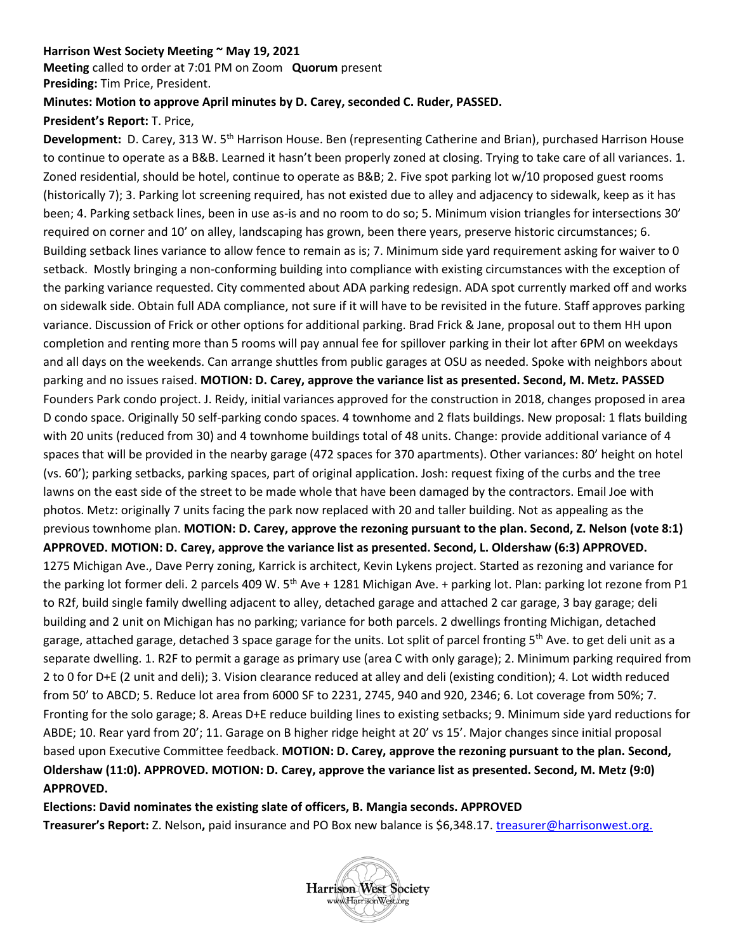#### **Harrison West Society Meeting ~ May 19, 2021**

**Meeting** called to order at 7:01 PM on Zoom **Quorum** present **Presiding:** Tim Price, President.

# **Minutes: Motion to approve April minutes by D. Carey, seconded C. Ruder, PASSED.**

### **President's Report:** T. Price,

**Development:** D. Carey, 313 W. 5th Harrison House. Ben (representing Catherine and Brian), purchased Harrison House to continue to operate as a B&B. Learned it hasn't been properly zoned at closing. Trying to take care of all variances. 1. Zoned residential, should be hotel, continue to operate as B&B; 2. Five spot parking lot w/10 proposed guest rooms (historically 7); 3. Parking lot screening required, has not existed due to alley and adjacency to sidewalk, keep as it has been; 4. Parking setback lines, been in use as-is and no room to do so; 5. Minimum vision triangles for intersections 30' required on corner and 10' on alley, landscaping has grown, been there years, preserve historic circumstances; 6. Building setback lines variance to allow fence to remain as is; 7. Minimum side yard requirement asking for waiver to 0 setback. Mostly bringing a non-conforming building into compliance with existing circumstances with the exception of the parking variance requested. City commented about ADA parking redesign. ADA spot currently marked off and works on sidewalk side. Obtain full ADA compliance, not sure if it will have to be revisited in the future. Staff approves parking variance. Discussion of Frick or other options for additional parking. Brad Frick & Jane, proposal out to them HH upon completion and renting more than 5 rooms will pay annual fee for spillover parking in their lot after 6PM on weekdays and all days on the weekends. Can arrange shuttles from public garages at OSU as needed. Spoke with neighbors about parking and no issues raised. **MOTION: D. Carey, approve the variance list as presented. Second, M. Metz. PASSED** Founders Park condo project. J. Reidy, initial variances approved for the construction in 2018, changes proposed in area D condo space. Originally 50 self-parking condo spaces. 4 townhome and 2 flats buildings. New proposal: 1 flats building with 20 units (reduced from 30) and 4 townhome buildings total of 48 units. Change: provide additional variance of 4 spaces that will be provided in the nearby garage (472 spaces for 370 apartments). Other variances: 80' height on hotel (vs. 60'); parking setbacks, parking spaces, part of original application. Josh: request fixing of the curbs and the tree lawns on the east side of the street to be made whole that have been damaged by the contractors. Email Joe with photos. Metz: originally 7 units facing the park now replaced with 20 and taller building. Not as appealing as the previous townhome plan. **MOTION: D. Carey, approve the rezoning pursuant to the plan. Second, Z. Nelson (vote 8:1) APPROVED. MOTION: D. Carey, approve the variance list as presented. Second, L. Oldershaw (6:3) APPROVED.**  1275 Michigan Ave., Dave Perry zoning, Karrick is architect, Kevin Lykens project. Started as rezoning and variance for the parking lot former deli. 2 parcels 409 W. 5<sup>th</sup> Ave + 1281 Michigan Ave. + parking lot. Plan: parking lot rezone from P1 to R2f, build single family dwelling adjacent to alley, detached garage and attached 2 car garage, 3 bay garage; deli building and 2 unit on Michigan has no parking; variance for both parcels. 2 dwellings fronting Michigan, detached garage, attached garage, detached 3 space garage for the units. Lot split of parcel fronting  $5<sup>th</sup>$  Ave. to get deli unit as a separate dwelling. 1. R2F to permit a garage as primary use (area C with only garage); 2. Minimum parking required from 2 to 0 for D+E (2 unit and deli); 3. Vision clearance reduced at alley and deli (existing condition); 4. Lot width reduced from 50' to ABCD; 5. Reduce lot area from 6000 SF to 2231, 2745, 940 and 920, 2346; 6. Lot coverage from 50%; 7. Fronting for the solo garage; 8. Areas D+E reduce building lines to existing setbacks; 9. Minimum side yard reductions for ABDE; 10. Rear yard from 20'; 11. Garage on B higher ridge height at 20' vs 15'. Major changes since initial proposal based upon Executive Committee feedback. **MOTION: D. Carey, approve the rezoning pursuant to the plan. Second, Oldershaw (11:0). APPROVED. MOTION: D. Carey, approve the variance list as presented. Second, M. Metz (9:0) APPROVED.**

**Elections: David nominates the existing slate of officers, B. Mangia seconds. APPROVED Treasurer's Report:** Z. Nelson**,** paid insurance and PO Box new balance is \$6,348.17[. treasurer@harrisonwest.org.](mailto:treasurer@harrisonwest.org)